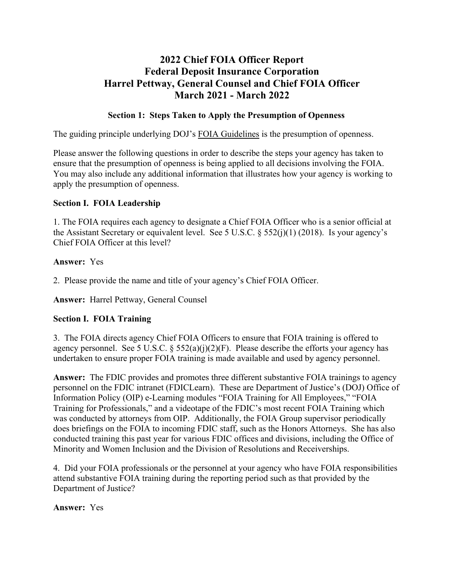# **2022 Chief FOIA Officer Report Federal Deposit Insurance Corporation Harrel Pettway, General Counsel and Chief FOIA Officer March 2021 - March 2022**

## **Section 1: Steps Taken to Apply the Presumption of Openness**

The guiding principle underlying DOJ's FOIA [Guidelines](http://justice.gov/ag/foia-memo-march2009.pdf) is the presumption of openness.

Please answer the following questions in order to describe the steps your agency has taken to ensure that the presumption of openness is being applied to all decisions involving the FOIA. You may also include any additional information that illustrates how your agency is working to apply the presumption of openness.

### **Section I. FOIA Leadership**

1. The FOIA requires each agency to designate a Chief FOIA Officer who is a senior official at the Assistant Secretary or equivalent level. See 5 U.S.C.  $\S$  552(j)(1) (2018). Is your agency's Chief FOIA Officer at this level?

### **Answer:** Yes

2. Please provide the name and title of your agency's Chief FOIA Officer.

**Answer:** Harrel Pettway, General Counsel

## **Section I. FOIA Training**

3. The FOIA directs agency Chief FOIA Officers to ensure that FOIA training is offered to agency personnel. See 5 U.S.C.  $\S 552(a)(j)(2)(F)$ . Please describe the efforts your agency has undertaken to ensure proper FOIA training is made available and used by agency personnel.

**Answer:** The FDIC provides and promotes three different substantive FOIA trainings to agency personnel on the FDIC intranet (FDICLearn). These are Department of Justice's (DOJ) Office of Information Policy (OIP) e-Learning modules "FOIA Training for All Employees," "FOIA Training for Professionals," and a videotape of the FDIC's most recent FOIA Training which was conducted by attorneys from OIP. Additionally, the FOIA Group supervisor periodically does briefings on the FOIA to incoming FDIC staff, such as the Honors Attorneys. She has also conducted training this past year for various FDIC offices and divisions, including the Office of Minority and Women Inclusion and the Division of Resolutions and Receiverships.

4. Did your FOIA professionals or the personnel at your agency who have FOIA responsibilities attend substantive FOIA training during the reporting period such as that provided by the Department of Justice?

### **Answer:** Yes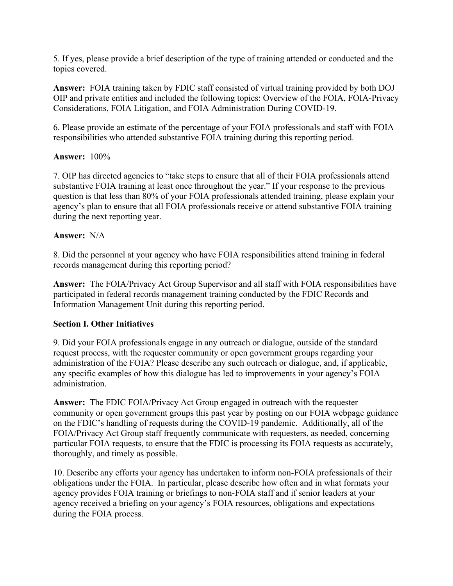5. If yes, please provide a brief description of the type of training attended or conducted and the topics covered.

**Answer:** FOIA training taken by FDIC staff consisted of virtual training provided by both DOJ OIP and private entities and included the following topics: Overview of the FOIA, FOIA-Privacy Considerations, FOIA Litigation, and FOIA Administration During COVID-19.

6. Please provide an estimate of the percentage of your FOIA professionals and staff with FOIA responsibilities who attended substantive FOIA training during this reporting period.

### **Answer:** 100%

7. OIP has directed [agencies](https://www.justice.gov/oip/oip-guidance-9) to "take steps to ensure that all of their FOIA professionals attend substantive FOIA training at least once throughout the year." If your response to the previous question is that less than 80% of your FOIA professionals attended training, please explain your agency's plan to ensure that all FOIA professionals receive or attend substantive FOIA training during the next reporting year.

### **Answer:** N/A

8. Did the personnel at your agency who have FOIA responsibilities attend training in federal records management during this reporting period?

**Answer:** The FOIA/Privacy Act Group Supervisor and all staff with FOIA responsibilities have participated in federal records management training conducted by the FDIC Records and Information Management Unit during this reporting period.

## **Section I. Other Initiatives**

9. Did your FOIA professionals engage in any outreach or dialogue, outside of the standard request process, with the requester community or open government groups regarding your administration of the FOIA? Please describe any such outreach or dialogue, and, if applicable, any specific examples of how this dialogue has led to improvements in your agency's FOIA administration.

**Answer:** The FDIC FOIA/Privacy Act Group engaged in outreach with the requester community or open government groups this past year by posting on our FOIA webpage guidance on the FDIC's handling of requests during the COVID-19 pandemic. Additionally, all of the FOIA/Privacy Act Group staff frequently communicate with requesters, as needed, concerning particular FOIA requests, to ensure that the FDIC is processing its FOIA requests as accurately, thoroughly, and timely as possible.

10. Describe any efforts your agency has undertaken to inform non-FOIA professionals of their obligations under the FOIA. In particular, please describe how often and in what formats your agency provides FOIA training or briefings to non-FOIA staff and if senior leaders at your agency received a briefing on your agency's FOIA resources, obligations and expectations during the FOIA process.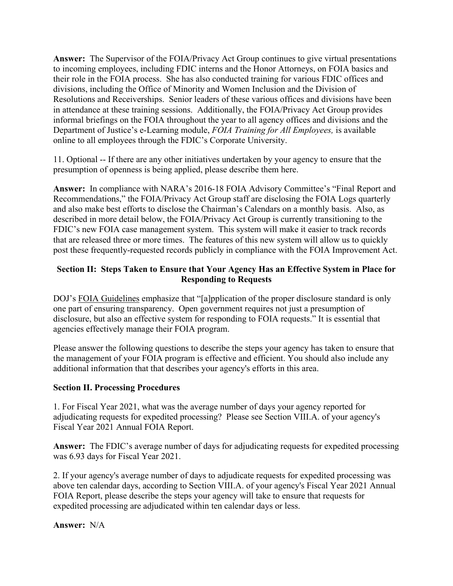**Answer:** The Supervisor of the FOIA/Privacy Act Group continues to give virtual presentations to incoming employees, including FDIC interns and the Honor Attorneys, on FOIA basics and their role in the FOIA process. She has also conducted training for various FDIC offices and divisions, including the Office of Minority and Women Inclusion and the Division of Resolutions and Receiverships. Senior leaders of these various offices and divisions have been in attendance at these training sessions. Additionally, the FOIA/Privacy Act Group provides informal briefings on the FOIA throughout the year to all agency offices and divisions and the Department of Justice's e-Learning module, *FOIA Training for All Employees,* is available online to all employees through the FDIC's Corporate University.

11. Optional -- If there are any other initiatives undertaken by your agency to ensure that the presumption of openness is being applied, please describe them here.

**Answer:** In compliance with NARA's 2016-18 FOIA Advisory Committee's "Final Report and Recommendations," the FOIA/Privacy Act Group staff are disclosing the FOIA Logs quarterly and also make best efforts to disclose the Chairman's Calendars on a monthly basis. Also, as described in more detail below, the FOIA/Privacy Act Group is currently transitioning to the FDIC's new FOIA case management system. This system will make it easier to track records that are released three or more times. The features of this new system will allow us to quickly post these frequently-requested records publicly in compliance with the FOIA Improvement Act.

## **Section II: Steps Taken to Ensure that Your Agency Has an Effective System in Place for Responding to Requests**

DOJ's FOIA [Guidelines](http://justice.gov/ag/foia-memo-march2009.pdf) emphasize that "[a]pplication of the proper disclosure standard is only one part of ensuring transparency. Open government requires not just a presumption of disclosure, but also an effective system for responding to FOIA requests." It is essential that agencies effectively manage their FOIA program.

Please answer the following questions to describe the steps your agency has taken to ensure that the management of your FOIA program is effective and efficient. You should also include any additional information that that describes your agency's efforts in this area.

## **Section II. Processing Procedures**

1. For Fiscal Year 2021, what was the average number of days your agency reported for adjudicating requests for expedited processing? Please see Section VIII.A. of your agency's Fiscal Year 2021 Annual FOIA Report.

**Answer:** The FDIC's average number of days for adjudicating requests for expedited processing was 6.93 days for Fiscal Year 2021.

2. If your agency's average number of days to adjudicate requests for expedited processing was above ten calendar days, according to Section VIII.A. of your agency's Fiscal Year 2021 Annual FOIA Report, please describe the steps your agency will take to ensure that requests for expedited processing are adjudicated within ten calendar days or less.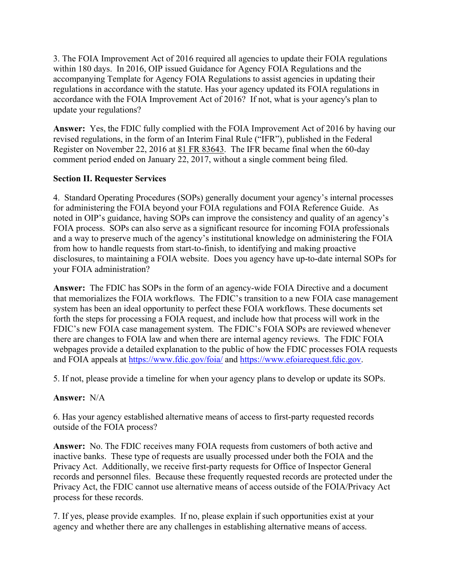3. The FOIA Improvement Act of 2016 required all agencies to update their FOIA regulations within 180 days. In 2016, OIP issued Guidance for Agency FOIA Regulations and the accompanying Template for Agency FOIA Regulations to assist agencies in updating their regulations in accordance with the statute. Has your agency updated its FOIA regulations in accordance with the FOIA Improvement Act of 2016? If not, what is your agency's plan to update your regulations?

**Answer:** Yes, the FDIC fully complied with the FOIA Improvement Act of 2016 by having our revised regulations, in the form of an Interim Final Rule ("IFR"), published in the Federal Register on November 22, 2016 at 81 FR 83643. The IFR became final when the 60-day comment period ended on January 22, 2017, without a single comment being filed.

## **Section II. Requester Services**

4. Standard Operating Procedures (SOPs) generally document your agency's internal processes for administering the FOIA beyond your FOIA regulations and FOIA Reference Guide. As noted in OIP's guidance, having SOPs can improve the consistency and quality of an agency's FOIA process. SOPs can also serve as a significant resource for incoming FOIA professionals and a way to preserve much of the agency's institutional knowledge on administering the FOIA from how to handle requests from start-to-finish, to identifying and making proactive disclosures, to maintaining a FOIA website. Does you agency have up-to-date internal SOPs for your FOIA administration?

**Answer:** The FDIC has SOPs in the form of an agency-wide FOIA Directive and a document that memorializes the FOIA workflows. The FDIC's transition to a new FOIA case management system has been an ideal opportunity to perfect these FOIA workflows. These documents set forth the steps for processing a FOIA request, and include how that process will work in the FDIC's new FOIA case management system. The FDIC's FOIA SOPs are reviewed whenever there are changes to FOIA law and when there are internal agency reviews. The FDIC FOIA webpages provide a detailed explanation to the public of how the FDIC processes FOIA requests and FOIA appeals at <https://www.fdic.gov/foia/> and [https://www.efoiarequest.fdic.gov.](https://www.efoiarequest.fdic.gov/)

5. If not, please provide a timeline for when your agency plans to develop or update its SOPs.

## **Answer:** N/A

6. Has your agency established alternative means of access to first-party requested records outside of the FOIA process?

**Answer:** No. The FDIC receives many FOIA requests from customers of both active and inactive banks. These type of requests are usually processed under both the FOIA and the Privacy Act. Additionally, we receive first-party requests for Office of Inspector General records and personnel files. Because these frequently requested records are protected under the Privacy Act, the FDIC cannot use alternative means of access outside of the FOIA/Privacy Act process for these records.

7. If yes, please provide examples. If no, please explain if such opportunities exist at your agency and whether there are any challenges in establishing alternative means of access.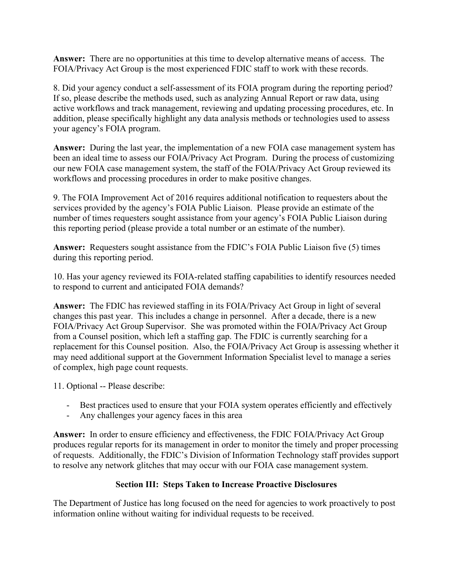**Answer:** There are no opportunities at this time to develop alternative means of access. The FOIA/Privacy Act Group is the most experienced FDIC staff to work with these records.

8. Did your agency conduct a self-assessment of its FOIA program during the reporting period? If so, please describe the methods used, such as analyzing Annual Report or raw data, using active workflows and track management, reviewing and updating processing procedures, etc. In addition, please specifically highlight any data analysis methods or technologies used to assess your agency's FOIA program.

**Answer:** During the last year, the implementation of a new FOIA case management system has been an ideal time to assess our FOIA/Privacy Act Program. During the process of customizing our new FOIA case management system, the staff of the FOIA/Privacy Act Group reviewed its workflows and processing procedures in order to make positive changes.

9. The FOIA Improvement Act of 2016 requires additional notification to requesters about the services provided by the agency's FOIA Public Liaison. Please provide an estimate of the number of times requesters sought assistance from your agency's FOIA Public Liaison during this reporting period (please provide a total number or an estimate of the number).

**Answer:** Requesters sought assistance from the FDIC's FOIA Public Liaison five (5) times during this reporting period.

10. Has your agency reviewed its FOIA-related staffing capabilities to identify resources needed to respond to current and anticipated FOIA demands?

**Answer:** The FDIC has reviewed staffing in its FOIA/Privacy Act Group in light of several changes this past year. This includes a change in personnel. After a decade, there is a new FOIA/Privacy Act Group Supervisor. She was promoted within the FOIA/Privacy Act Group from a Counsel position, which left a staffing gap. The FDIC is currently searching for a replacement for this Counsel position. Also, the FOIA/Privacy Act Group is assessing whether it may need additional support at the Government Information Specialist level to manage a series of complex, high page count requests.

11. Optional -- Please describe:

- Best practices used to ensure that your FOIA system operates efficiently and effectively
- Any challenges your agency faces in this area

**Answer:** In order to ensure efficiency and effectiveness, the FDIC FOIA/Privacy Act Group produces regular reports for its management in order to monitor the timely and proper processing of requests. Additionally, the FDIC's Division of Information Technology staff provides support to resolve any network glitches that may occur with our FOIA case management system.

## **Section III: Steps Taken to Increase Proactive Disclosures**

The Department of Justice has long focused on the need for agencies to work proactively to post information online without waiting for individual requests to be received.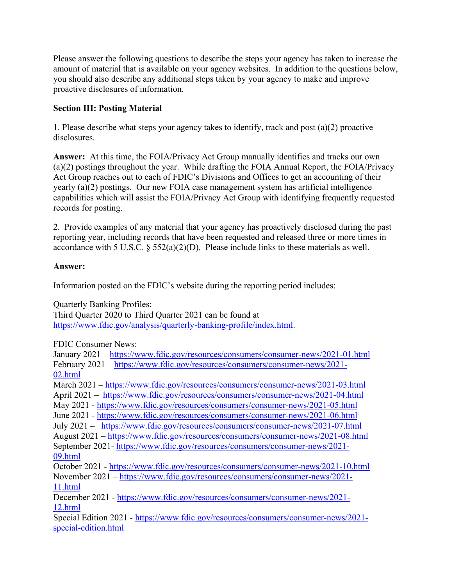Please answer the following questions to describe the steps your agency has taken to increase the amount of material that is available on your agency websites. In addition to the questions below, you should also describe any additional steps taken by your agency to make and improve proactive disclosures of information.

## **Section III: Posting Material**

1. Please describe what steps your agency takes to identify, track and post (a)(2) proactive disclosures.

**Answer:** At this time, the FOIA/Privacy Act Group manually identifies and tracks our own (a)(2) postings throughout the year. While drafting the FOIA Annual Report, the FOIA/Privacy Act Group reaches out to each of FDIC's Divisions and Offices to get an accounting of their yearly (a)(2) postings. Our new FOIA case management system has artificial intelligence capabilities which will assist the FOIA/Privacy Act Group with identifying frequently requested records for posting.

2. Provide examples of any material that your agency has proactively disclosed during the past reporting year, including records that have been requested and released three or more times in accordance with 5 U.S.C. § 552(a)(2)(D). Please include links to these materials as well.

## **Answer:**

Information posted on the FDIC's website during the reporting period includes:

Quarterly Banking Profiles:

Third Quarter 2020 to Third Quarter 2021 can be found at [https://www.fdic.gov/analysis/quarterly-banking-profile/index.html.](https://www.fdic.gov/analysis/quarterly-banking-profile/index.html)

FDIC Consumer News:

January 2021 – <https://www.fdic.gov/resources/consumers/consumer-news/2021-01.html> February 2021 – [https://www.fdic.gov/resources/consumers/consumer-news/2021-](https://www.fdic.gov/resources/consumers/consumer-news/2021-02.html) [02.html](https://www.fdic.gov/resources/consumers/consumer-news/2021-02.html)  March 2021 – <https://www.fdic.gov/resources/consumers/consumer-news/2021-03.html> April 2021 – <https://www.fdic.gov/resources/consumers/consumer-news/2021-04.html> May 2021 - <https://www.fdic.gov/resources/consumers/consumer-news/2021-05.html> June 2021 - <https://www.fdic.gov/resources/consumers/consumer-news/2021-06.html> July 2021 – <https://www.fdic.gov/resources/consumers/consumer-news/2021-07.html> August 2021 – <https://www.fdic.gov/resources/consumers/consumer-news/2021-08.html> September 2021- [https://www.fdic.gov/resources/consumers/consumer-news/2021-](https://www.fdic.gov/resources/consumers/consumer-news/2021-09.html) [09.html](https://www.fdic.gov/resources/consumers/consumer-news/2021-09.html)  October 2021 - <https://www.fdic.gov/resources/consumers/consumer-news/2021-10.html> November 2021 – [https://www.fdic.gov/resources/consumers/consumer-news/2021-](https://www.fdic.gov/resources/consumers/consumer-news/2021-11.html) [11.html](https://www.fdic.gov/resources/consumers/consumer-news/2021-11.html)  December 2021 - [https://www.fdic.gov/resources/consumers/consumer-news/2021-](https://www.fdic.gov/resources/consumers/consumer-news/2021-12.html) [12.html](https://www.fdic.gov/resources/consumers/consumer-news/2021-12.html)  Special Edition 2021 - [https://www.fdic.gov/resources/consumers/consumer-news/2021](https://www.fdic.gov/resources/consumers/consumer-news/2021-special-edition.html) [special-edition.html](https://www.fdic.gov/resources/consumers/consumer-news/2021-special-edition.html)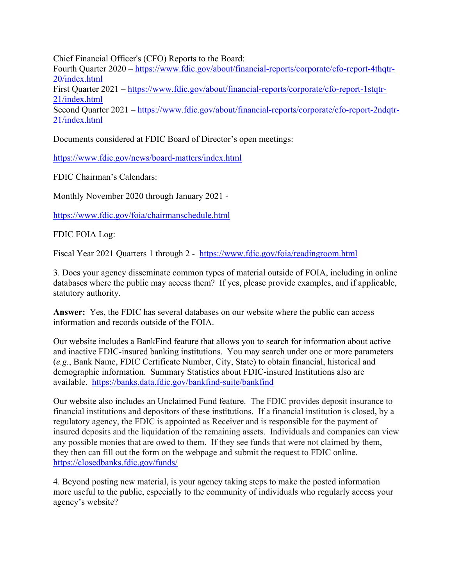Chief Financial Officer's (CFO) Reports to the Board:

Fourth Quarter 2020 – [https://www.fdic.gov/about/financial-reports/corporate/cfo-report-4thqtr-](https://www.fdic.gov/about/financial-reports/corporate/cfo-report-4thqtr-20/index.html)[20/index.html](https://www.fdic.gov/about/financial-reports/corporate/cfo-report-4thqtr-20/index.html)  First Quarter 2021 – [https://www.fdic.gov/about/financial-reports/corporate/cfo-report-1stqtr-](https://www.fdic.gov/about/financial-reports/corporate/cfo-report-1stqtr-21/index.html)[21/index.html](https://www.fdic.gov/about/financial-reports/corporate/cfo-report-1stqtr-21/index.html)  Second Quarter 2021 – [https://www.fdic.gov/about/financial-reports/corporate/cfo-report-2ndqtr-](https://www.fdic.gov/about/financial-reports/corporate/cfo-report-2ndqtr-21/index.html)[21/index.html](https://www.fdic.gov/about/financial-reports/corporate/cfo-report-2ndqtr-21/index.html) 

Documents considered at FDIC Board of Director's open meetings:

<https://www.fdic.gov/news/board-matters/index.html>

FDIC Chairman's Calendars:

Monthly November 2020 through January 2021 -

<https://www.fdic.gov/foia/chairmanschedule.html>

FDIC FOIA Log:

Fiscal Year 2021 Quarters 1 through 2 - <https://www.fdic.gov/foia/readingroom.html>

3. Does your agency disseminate common types of material outside of FOIA, including in online databases where the public may access them? If yes, please provide examples, and if applicable, statutory authority.

**Answer:** Yes, the FDIC has several databases on our website where the public can access information and records outside of the FOIA.

Our website includes a BankFind feature that allows you to search for information about active and inactive FDIC-insured banking institutions. You may search under one or more parameters (*e.g.*, Bank Name, FDIC Certificate Number, City, State) to obtain financial, historical and demographic information. Summary Statistics about FDIC-insured Institutions also are available. <https://banks.data.fdic.gov/bankfind-suite/bankfind>

Our website also includes an Unclaimed Fund feature. The FDIC provides deposit insurance to financial institutions and depositors of these institutions. If a financial institution is closed, by a regulatory agency, the FDIC is appointed as Receiver and is responsible for the payment of insured deposits and the liquidation of the remaining assets. Individuals and companies can view any possible monies that are owed to them. If they see funds that were not claimed by them, they then can fill out the form on the webpage and submit the request to FDIC online. <https://closedbanks.fdic.gov/funds/>

4. Beyond posting new material, is your agency taking steps to make the posted information more useful to the public, especially to the community of individuals who regularly access your agency's website?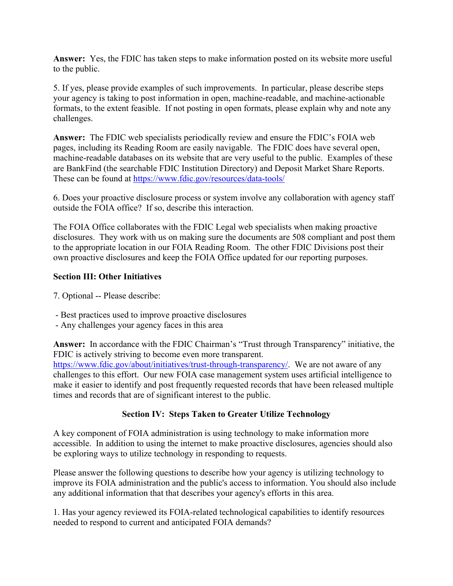**Answer:** Yes, the FDIC has taken steps to make information posted on its website more useful to the public.

5. If yes, please provide examples of such improvements. In particular, please describe steps your agency is taking to post information in open, machine-readable, and machine-actionable formats, to the extent feasible. If not posting in open formats, please explain why and note any challenges.

**Answer:** The FDIC web specialists periodically review and ensure the FDIC's FOIA web pages, including its Reading Room are easily navigable. The FDIC does have several open, machine-readable databases on its website that are very useful to the public. Examples of these are BankFind (the searchable FDIC Institution Directory) and Deposit Market Share Reports. These can be found at <https://www.fdic.gov/resources/data-tools/>

6. Does your proactive disclosure process or system involve any collaboration with agency staff outside the FOIA office? If so, describe this interaction.

The FOIA Office collaborates with the FDIC Legal web specialists when making proactive disclosures. They work with us on making sure the documents are 508 compliant and post them to the appropriate location in our FOIA Reading Room. The other FDIC Divisions post their own proactive disclosures and keep the FOIA Office updated for our reporting purposes.

## **Section III: Other Initiatives**

- 7. Optional -- Please describe:
- Best practices used to improve proactive disclosures
- Any challenges your agency faces in this area

**Answer:** In accordance with the FDIC Chairman's "Trust through Transparency" initiative, the FDIC is actively striving to become even more transparent. [https://www.fdic.gov/about/initiatives/trust-through-transparency/.](https://www.fdic.gov/about/initiatives/trust-through-transparency/) We are not aware of any challenges to this effort.Our new FOIA case management system uses artificial intelligence to make it easier to identify and post frequently requested records that have been released multiple times and records that are of significant interest to the public.

### **Section IV: Steps Taken to Greater Utilize Technology**

A key component of FOIA administration is using technology to make information more accessible. In addition to using the internet to make proactive disclosures, agencies should also be exploring ways to utilize technology in responding to requests.

Please answer the following questions to describe how your agency is utilizing technology to improve its FOIA administration and the public's access to information. You should also include any additional information that that describes your agency's efforts in this area.

1. Has your agency reviewed its FOIA-related technological capabilities to identify resources needed to respond to current and anticipated FOIA demands?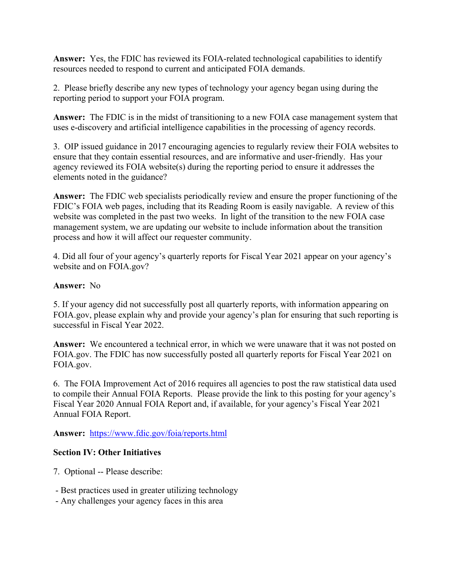**Answer:** Yes, the FDIC has reviewed its FOIA-related technological capabilities to identify resources needed to respond to current and anticipated FOIA demands.

2. Please briefly describe any new types of technology your agency began using during the reporting period to support your FOIA program.

**Answer:** The FDIC is in the midst of transitioning to a new FOIA case management system that uses e-discovery and artificial intelligence capabilities in the processing of agency records.

3. OIP issued guidance in 2017 encouraging agencies to regularly review their FOIA websites to ensure that they contain essential resources, and are informative and user-friendly. Has your agency reviewed its FOIA website(s) during the reporting period to ensure it addresses the elements noted in the guidance?

**Answer:** The FDIC web specialists periodically review and ensure the proper functioning of the FDIC's FOIA web pages, including that its Reading Room is easily navigable. A review of this website was completed in the past two weeks. In light of the transition to the new FOIA case management system, we are updating our website to include information about the transition process and how it will affect our requester community.

4. Did all four of your agency's quarterly reports for Fiscal Year 2021 appear on your agency's website and on FOIA.gov?

### **Answer:** No

5. If your agency did not successfully post all quarterly reports, with information appearing on FOIA.gov, please explain why and provide your agency's plan for ensuring that such reporting is successful in Fiscal Year 2022.

**Answer:** We encountered a technical error, in which we were unaware that it was not posted on FOIA.gov. The FDIC has now successfully posted all quarterly reports for Fiscal Year 2021 on FOIA.gov.

6. The FOIA Improvement Act of 2016 requires all agencies to post the raw statistical data used to compile their Annual FOIA Reports. Please provide the link to this posting for your agency's Fiscal Year 2020 Annual FOIA Report and, if available, for your agency's Fiscal Year 2021 Annual FOIA Report.

**Answer:** <https://www.fdic.gov/foia/reports.html>

## **Section IV: Other Initiatives**

- 7. Optional -- Please describe:
- Best practices used in greater utilizing technology
- Any challenges your agency faces in this area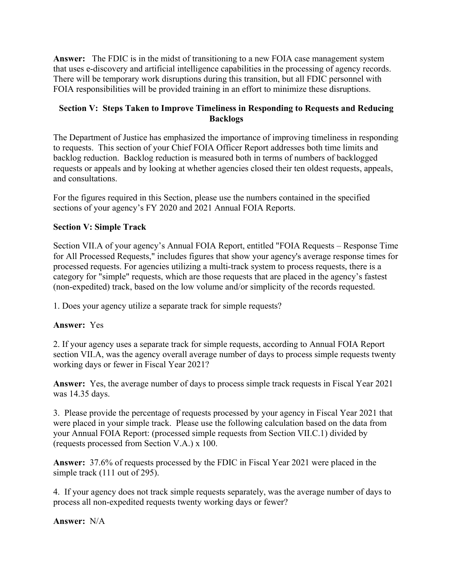**Answer:** The FDIC is in the midst of transitioning to a new FOIA case management system that uses e-discovery and artificial intelligence capabilities in the processing of agency records. There will be temporary work disruptions during this transition, but all FDIC personnel with FOIA responsibilities will be provided training in an effort to minimize these disruptions.

## **Section V: Steps Taken to Improve Timeliness in Responding to Requests and Reducing Backlogs**

The Department of Justice has emphasized the importance of improving timeliness in responding to requests. This section of your Chief FOIA Officer Report addresses both time limits and backlog reduction. Backlog reduction is measured both in terms of numbers of backlogged requests or appeals and by looking at whether agencies closed their ten oldest requests, appeals, and consultations.

For the figures required in this Section, please use the numbers contained in the specified sections of your agency's FY 2020 and 2021 Annual FOIA Reports.

## **Section V: Simple Track**

Section VII.A of your agency's Annual FOIA Report, entitled "FOIA Requests – Response Time for All Processed Requests," includes figures that show your agency's average response times for processed requests. For agencies utilizing a multi-track system to process requests, there is a category for "simple" requests, which are those requests that are placed in the agency's fastest (non-expedited) track, based on the low volume and/or simplicity of the records requested.

1. Does your agency utilize a separate track for simple requests?

## **Answer:** Yes

2. If your agency uses a separate track for simple requests, according to Annual FOIA Report section VII.A, was the agency overall average number of days to process simple requests twenty working days or fewer in Fiscal Year 2021?

**Answer:** Yes, the average number of days to process simple track requests in Fiscal Year 2021 was 14.35 days.

3. Please provide the percentage of requests processed by your agency in Fiscal Year 2021 that were placed in your simple track. Please use the following calculation based on the data from your Annual FOIA Report: (processed simple requests from Section VII.C.1) divided by (requests processed from Section V.A.) x 100.

**Answer:** 37.6% of requests processed by the FDIC in Fiscal Year 2021 were placed in the simple track (111 out of 295).

4. If your agency does not track simple requests separately, was the average number of days to process all non-expedited requests twenty working days or fewer?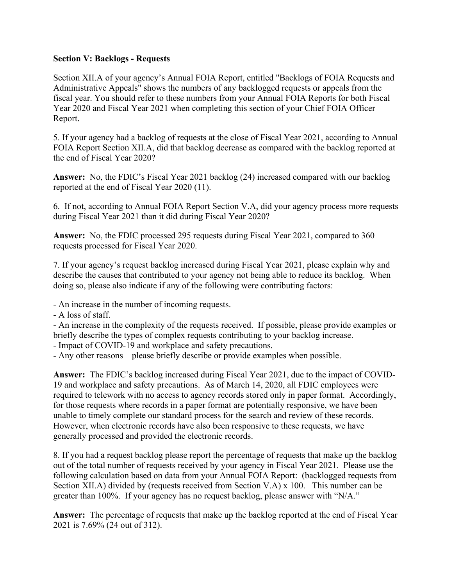### **Section V: Backlogs - Requests**

Section XII.A of your agency's Annual FOIA Report, entitled "Backlogs of FOIA Requests and Administrative Appeals" shows the numbers of any backlogged requests or appeals from the fiscal year. You should refer to these numbers from your Annual FOIA Reports for both Fiscal Year 2020 and Fiscal Year 2021 when completing this section of your Chief FOIA Officer Report.

5. If your agency had a backlog of requests at the close of Fiscal Year 2021, according to Annual FOIA Report Section XII.A, did that backlog decrease as compared with the backlog reported at the end of Fiscal Year 2020?

**Answer:** No, the FDIC's Fiscal Year 2021 backlog (24) increased compared with our backlog reported at the end of Fiscal Year 2020 (11).

6. If not, according to Annual FOIA Report Section V.A, did your agency process more requests during Fiscal Year 2021 than it did during Fiscal Year 2020?

**Answer:** No, the FDIC processed 295 requests during Fiscal Year 2021, compared to 360 requests processed for Fiscal Year 2020.

7. If your agency's request backlog increased during Fiscal Year 2021, please explain why and describe the causes that contributed to your agency not being able to reduce its backlog. When doing so, please also indicate if any of the following were contributing factors:

- An increase in the number of incoming requests.

- A loss of staff.

- An increase in the complexity of the requests received. If possible, please provide examples or briefly describe the types of complex requests contributing to your backlog increase.

- Impact of COVID-19 and workplace and safety precautions.

- Any other reasons – please briefly describe or provide examples when possible.

**Answer:** The FDIC's backlog increased during Fiscal Year 2021, due to the impact of COVID-19 and workplace and safety precautions. As of March 14, 2020, all FDIC employees were required to telework with no access to agency records stored only in paper format. Accordingly, for those requests where records in a paper format are potentially responsive, we have been unable to timely complete our standard process for the search and review of these records. However, when electronic records have also been responsive to these requests, we have generally processed and provided the electronic records.

8. If you had a request backlog please report the percentage of requests that make up the backlog out of the total number of requests received by your agency in Fiscal Year 2021. Please use the following calculation based on data from your Annual FOIA Report: (backlogged requests from Section XII.A) divided by (requests received from Section V.A) x 100. This number can be greater than 100%. If your agency has no request backlog, please answer with "N/A."

**Answer:** The percentage of requests that make up the backlog reported at the end of Fiscal Year 2021 is 7.69% (24 out of 312).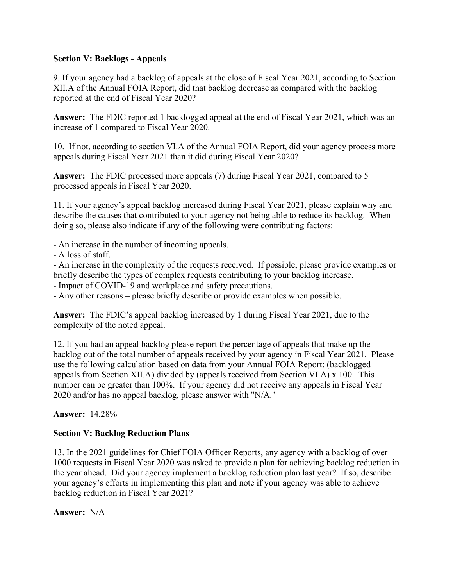### **Section V: Backlogs - Appeals**

9. If your agency had a backlog of appeals at the close of Fiscal Year 2021, according to Section XII.A of the Annual FOIA Report, did that backlog decrease as compared with the backlog reported at the end of Fiscal Year 2020?

**Answer:** The FDIC reported 1 backlogged appeal at the end of Fiscal Year 2021, which was an increase of 1 compared to Fiscal Year 2020.

10. If not, according to section VI.A of the Annual FOIA Report, did your agency process more appeals during Fiscal Year 2021 than it did during Fiscal Year 2020?

**Answer:** The FDIC processed more appeals (7) during Fiscal Year 2021, compared to 5 processed appeals in Fiscal Year 2020.

11. If your agency's appeal backlog increased during Fiscal Year 2021, please explain why and describe the causes that contributed to your agency not being able to reduce its backlog. When doing so, please also indicate if any of the following were contributing factors:

- An increase in the number of incoming appeals.

- A loss of staff.

- An increase in the complexity of the requests received. If possible, please provide examples or briefly describe the types of complex requests contributing to your backlog increase.

- Impact of COVID-19 and workplace and safety precautions.

- Any other reasons – please briefly describe or provide examples when possible.

**Answer:** The FDIC's appeal backlog increased by 1 during Fiscal Year 2021, due to the complexity of the noted appeal.

12. If you had an appeal backlog please report the percentage of appeals that make up the backlog out of the total number of appeals received by your agency in Fiscal Year 2021. Please use the following calculation based on data from your Annual FOIA Report: (backlogged appeals from Section XII.A) divided by (appeals received from Section VI.A) x 100. This number can be greater than 100%. If your agency did not receive any appeals in Fiscal Year 2020 and/or has no appeal backlog, please answer with "N/A."

**Answer:** 14.28%

## **Section V: Backlog Reduction Plans**

13. In the 2021 guidelines for Chief FOIA Officer Reports, any agency with a backlog of over 1000 requests in Fiscal Year 2020 was asked to provide a plan for achieving backlog reduction in the year ahead. Did your agency implement a backlog reduction plan last year? If so, describe your agency's efforts in implementing this plan and note if your agency was able to achieve backlog reduction in Fiscal Year 2021?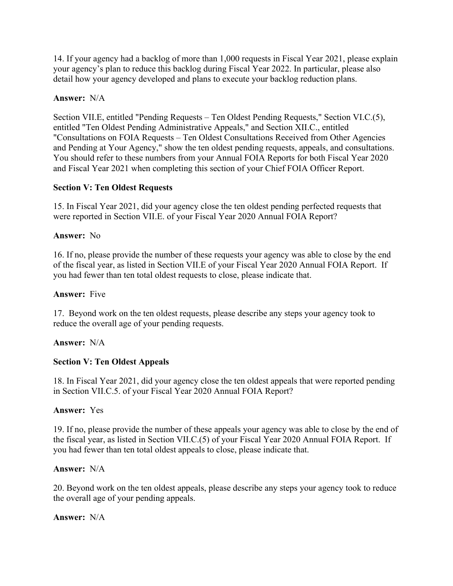14. If your agency had a backlog of more than 1,000 requests in Fiscal Year 2021, please explain your agency's plan to reduce this backlog during Fiscal Year 2022. In particular, please also detail how your agency developed and plans to execute your backlog reduction plans.

### **Answer:** N/A

Section VII.E, entitled "Pending Requests – Ten Oldest Pending Requests," Section VI.C.(5), entitled "Ten Oldest Pending Administrative Appeals," and Section XII.C., entitled "Consultations on FOIA Requests – Ten Oldest Consultations Received from Other Agencies and Pending at Your Agency," show the ten oldest pending requests, appeals, and consultations. You should refer to these numbers from your Annual FOIA Reports for both Fiscal Year 2020 and Fiscal Year 2021 when completing this section of your Chief FOIA Officer Report.

### **Section V: Ten Oldest Requests**

15. In Fiscal Year 2021, did your agency close the ten oldest pending perfected requests that were reported in Section VII.E. of your Fiscal Year 2020 Annual FOIA Report?

### **Answer:** No

16. If no, please provide the number of these requests your agency was able to close by the end of the fiscal year, as listed in Section VII.E of your Fiscal Year 2020 Annual FOIA Report. If you had fewer than ten total oldest requests to close, please indicate that.

### **Answer:** Five

17. Beyond work on the ten oldest requests, please describe any steps your agency took to reduce the overall age of your pending requests.

### **Answer:** N/A

## **Section V: Ten Oldest Appeals**

18. In Fiscal Year 2021, did your agency close the ten oldest appeals that were reported pending in Section VII.C.5. of your Fiscal Year 2020 Annual FOIA Report?

### **Answer:** Yes

19. If no, please provide the number of these appeals your agency was able to close by the end of the fiscal year, as listed in Section VII.C.(5) of your Fiscal Year 2020 Annual FOIA Report. If you had fewer than ten total oldest appeals to close, please indicate that.

### **Answer:** N/A

20. Beyond work on the ten oldest appeals, please describe any steps your agency took to reduce the overall age of your pending appeals.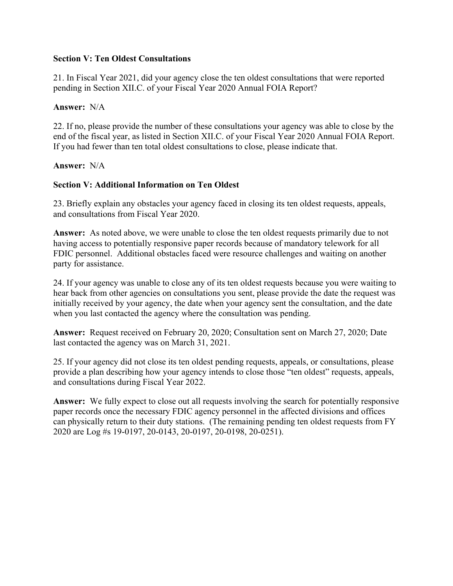### **Section V: Ten Oldest Consultations**

21. In Fiscal Year 2021, did your agency close the ten oldest consultations that were reported pending in Section XII.C. of your Fiscal Year 2020 Annual FOIA Report?

### **Answer:** N/A

22. If no, please provide the number of these consultations your agency was able to close by the end of the fiscal year, as listed in Section XII.C. of your Fiscal Year 2020 Annual FOIA Report. If you had fewer than ten total oldest consultations to close, please indicate that.

### **Answer:** N/A

## **Section V: Additional Information on Ten Oldest**

23. Briefly explain any obstacles your agency faced in closing its ten oldest requests, appeals, and consultations from Fiscal Year 2020.

**Answer:** As noted above, we were unable to close the ten oldest requests primarily due to not having access to potentially responsive paper records because of mandatory telework for all FDIC personnel. Additional obstacles faced were resource challenges and waiting on another party for assistance.

24. If your agency was unable to close any of its ten oldest requests because you were waiting to hear back from other agencies on consultations you sent, please provide the date the request was initially received by your agency, the date when your agency sent the consultation, and the date when you last contacted the agency where the consultation was pending.

**Answer:** Request received on February 20, 2020; Consultation sent on March 27, 2020; Date last contacted the agency was on March 31, 2021.

25. If your agency did not close its ten oldest pending requests, appeals, or consultations, please provide a plan describing how your agency intends to close those "ten oldest" requests, appeals, and consultations during Fiscal Year 2022.

**Answer:** We fully expect to close out all requests involving the search for potentially responsive paper records once the necessary FDIC agency personnel in the affected divisions and offices can physically return to their duty stations. (The remaining pending ten oldest requests from FY 2020 are Log #s 19-0197, 20-0143, 20-0197, 20-0198, 20-0251).